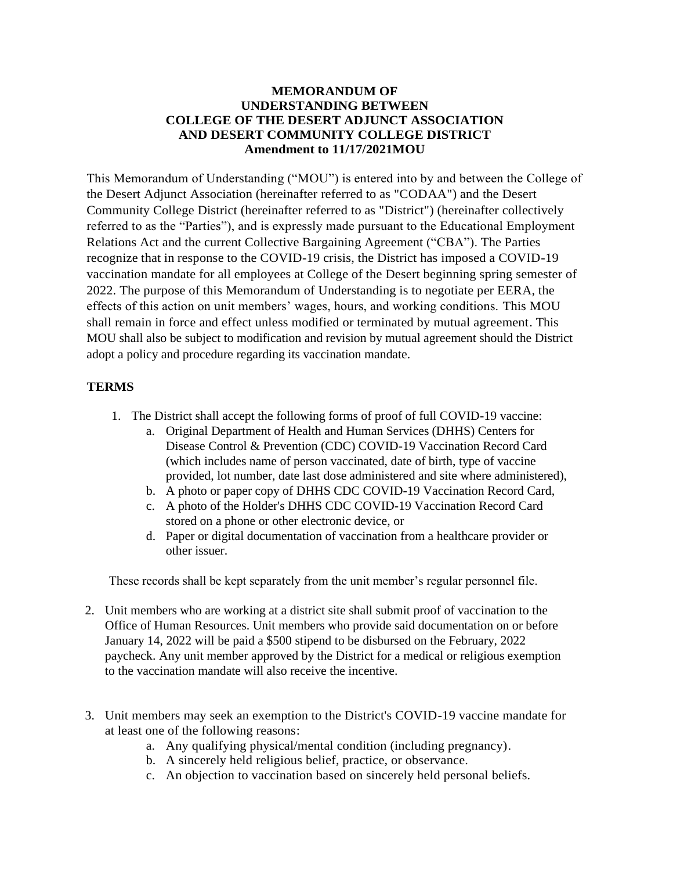## **MEMORANDUM OF UNDERSTANDING BETWEEN COLLEGE OF THE DESERT ADJUNCT ASSOCIATION AND DESERT COMMUNITY COLLEGE DISTRICT Amendment to 11/17/2021MOU**

This Memorandum of Understanding ("MOU") is entered into by and between the College of the Desert Adjunct Association (hereinafter referred to as "CODAA") and the Desert Community College District (hereinafter referred to as "District") (hereinafter collectively referred to as the "Parties"), and is expressly made pursuant to the Educational Employment Relations Act and the current Collective Bargaining Agreement ("CBA"). The Parties recognize that in response to the COVID-19 crisis, the District has imposed a COVID-19 vaccination mandate for all employees at College of the Desert beginning spring semester of 2022. The purpose of this Memorandum of Understanding is to negotiate per EERA, the effects of this action on unit members' wages, hours, and working conditions. This MOU shall remain in force and effect unless modified or terminated by mutual agreement. This MOU shall also be subject to modification and revision by mutual agreement should the District adopt a policy and procedure regarding its vaccination mandate.

## **TERMS**

- 1. The District shall accept the following forms of proof of full COVID-19 vaccine:
	- a. Original Department of Health and Human Services (DHHS) Centers for Disease Control & Prevention (CDC) COVID-19 Vaccination Record Card (which includes name of person vaccinated, date of birth, type of vaccine provided, lot number, date last dose administered and site where administered),
	- b. A photo or paper copy of DHHS CDC COVID-19 Vaccination Record Card,
	- c. A photo of the Holder's DHHS CDC COVID-19 Vaccination Record Card stored on a phone or other electronic device, or
	- d. Paper or digital documentation of vaccination from a healthcare provider or other issuer.

These records shall be kept separately from the unit member's regular personnel file.

- 2. Unit members who are working at a district site shall submit proof of vaccination to the Office of Human Resources. Unit members who provide said documentation on or before January 14, 2022 will be paid a \$500 stipend to be disbursed on the February, 2022 paycheck. Any unit member approved by the District for a medical or religious exemption to the vaccination mandate will also receive the incentive.
- 3. Unit members may seek an exemption to the District's COVID-19 vaccine mandate for at least one of the following reasons:
	- a. Any qualifying physical/mental condition (including pregnancy).
	- b. A sincerely held religious belief, practice, or observance.
	- c. An objection to vaccination based on sincerely held personal beliefs.